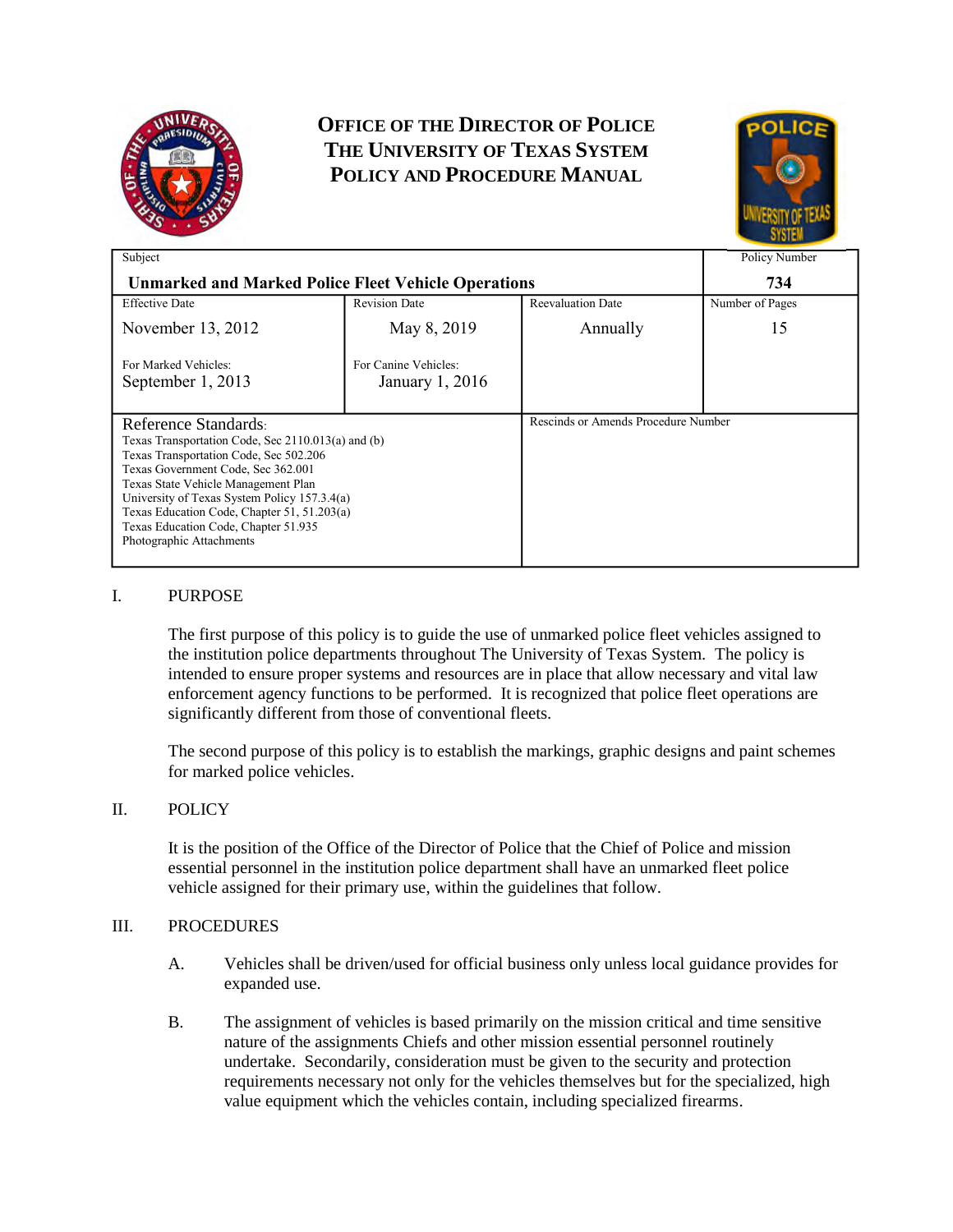

# **OFFICE OF THE DIRECTOR OF POLICE THE UNIVERSITY OF TEXAS SYSTEM POLICY AND PROCEDURE MANUAL**



| Subject                                                                                                                                                                                                                                                                                                                                                              |                                         |                                     | Policy Number   |
|----------------------------------------------------------------------------------------------------------------------------------------------------------------------------------------------------------------------------------------------------------------------------------------------------------------------------------------------------------------------|-----------------------------------------|-------------------------------------|-----------------|
| <b>Unmarked and Marked Police Fleet Vehicle Operations</b>                                                                                                                                                                                                                                                                                                           |                                         |                                     | 734             |
| <b>Effective Date</b>                                                                                                                                                                                                                                                                                                                                                | <b>Revision Date</b>                    | <b>Reevaluation Date</b>            | Number of Pages |
| November 13, 2012                                                                                                                                                                                                                                                                                                                                                    | May 8, 2019                             | Annually                            | 15              |
| For Marked Vehicles:<br>September 1, 2013                                                                                                                                                                                                                                                                                                                            | For Canine Vehicles:<br>January 1, 2016 |                                     |                 |
| Reference Standards:<br>Texas Transportation Code, Sec 2110.013(a) and (b)<br>Texas Transportation Code, Sec 502.206<br>Texas Government Code, Sec 362.001<br>Texas State Vehicle Management Plan<br>University of Texas System Policy 157.3.4(a)<br>Texas Education Code, Chapter 51, 51.203(a)<br>Texas Education Code, Chapter 51.935<br>Photographic Attachments |                                         | Rescinds or Amends Procedure Number |                 |

### I. PURPOSE

The first purpose of this policy is to guide the use of unmarked police fleet vehicles assigned to the institution police departments throughout The University of Texas System. The policy is intended to ensure proper systems and resources are in place that allow necessary and vital law enforcement agency functions to be performed. It is recognized that police fleet operations are significantly different from those of conventional fleets.

The second purpose of this policy is to establish the markings, graphic designs and paint schemes for marked police vehicles.

### II. POLICY

It is the position of the Office of the Director of Police that the Chief of Police and mission essential personnel in the institution police department shall have an unmarked fleet police vehicle assigned for their primary use, within the guidelines that follow.

### III. PROCEDURES

- A. Vehicles shall be driven/used for official business only unless local guidance provides for expanded use.
- B. The assignment of vehicles is based primarily on the mission critical and time sensitive nature of the assignments Chiefs and other mission essential personnel routinely undertake. Secondarily, consideration must be given to the security and protection requirements necessary not only for the vehicles themselves but for the specialized, high value equipment which the vehicles contain, including specialized firearms.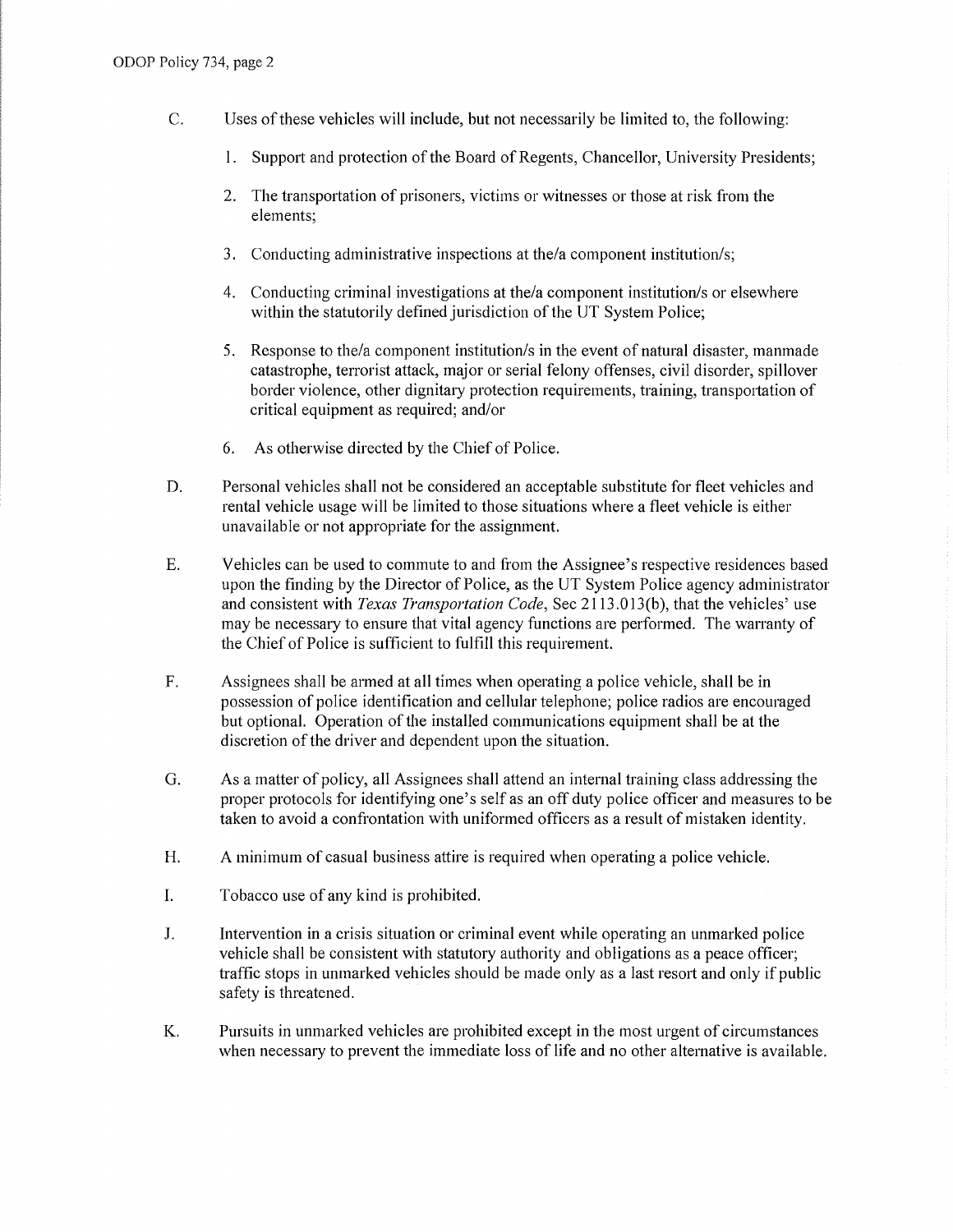- C. Uses of these vehicles will include, but not necessarily be limited to, the following:
	- 1. Suppott and protection of the Board of Regents, Chancellor, University Presidents;
	- 2. The transportation of prisoners, victims or witnesses or those at risk from the elements;
	- 3. Conducting administrative inspections at the/a component institution/s;
	- 4. Conducting criminal investigations at the/a component institution/s or elsewhere within the statutorily defined jurisdiction of the UT System Police;
	- 5. Response to the/a component institution/s in the event of natural disaster, manmade catastrophe, terrorist attack, major or serial felony offenses, civil disorder, spillover border violence, other dignitary protection requirements, training, transportation of critical equipment as required; and/or
	- 6. As otherwise directed by the Chief of Police.
- D. Personal vehicles shall not be considered an acceptable substitute for fleet vehicles and rental vehicle usage will be limited to those situations where a fleet vehicle is either unavailable or not appropriate for the assignment.
- E. Vehicles can be used to commute to and from the Assignee's respective residences based upon the finding by the Director of Police, as the UT System Police agency administrator and consistent with *Texas Transportation Code*, Sec 2113.013(b), that the vehicles' use may be necessary to ensure that vital agency functions are performed. The warranty of the Chief of Police is sufficient to fulfill this requirement.
- F. Assignees shall be armed at all times when operating a police vehicle, shall be in possession of police identification and cellular telephone; police radios are encouraged but optional. Operation of the installed communications equipment shall be at the discretion of the driver and dependent upon the situation.
- G. As a matter of policy, all Assignees shall attend an internal training class addressing the proper protocols for identifying one's self as an off duty police officer and measures to be taken to avoid a confrontation with uniformed officers as a result of mistaken identity.
- H. A minimum of casual business attire is required when operating a police vehicle.
- I. Tobacco use of any kind is prohibited.
- J. Intervention in a crisis situation or criminal event while operating an unmarked police vehicle shall be consistent with statutory authority and obligations as a peace officer; traffic stops in unmarked vehicles should be made only as a last resort and only if public safety is threatened.
- K. Pursuits in unmarked vehicles are prohibited except in the most urgent of circumstances when necessary to prevent the immediate loss of life and no other alternative is available.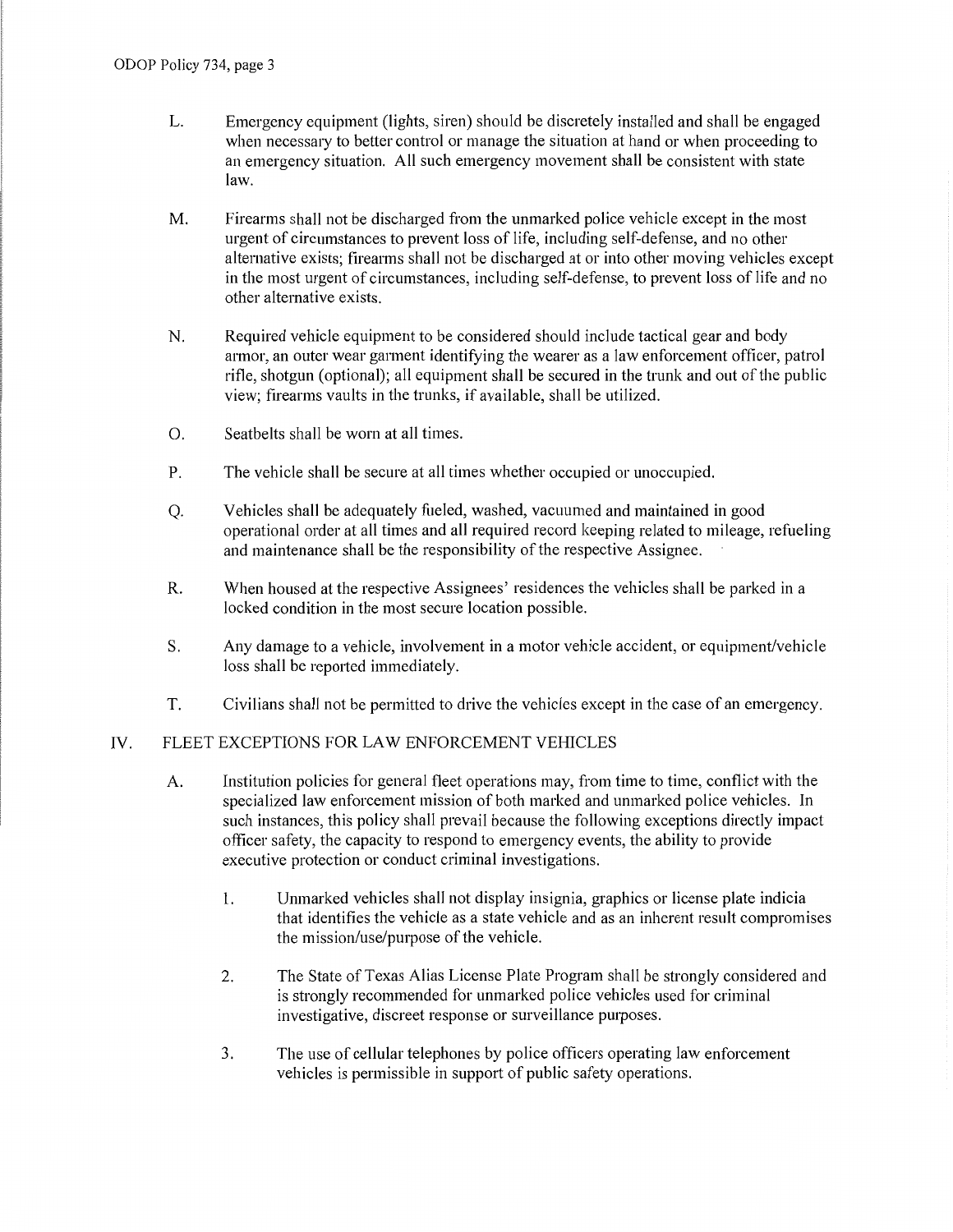- L. Emergency equipment (lights, siren) should be discretely installed and shall be engaged when necessary to better control or manage the situation at hand or when proceeding to an emergency situation. All such emergency movement shall be consistent with state law.
- M. Firearms shall not be discharged from the unmarked police vehicle except in the most urgent of circumstances to prevent loss of life, including self-defense, and no other alternative exists; firearms shall not be discharged at or into other moving vehicles except in the most urgent of circumstances, including self-defense, to prevent loss of life and no other alternative exists.
- N. Required vehicle equipment to be considered should include tactical gear and body armor, an outer wear garment identifying the wearer as a law enforcement officer, patrol rifle, shotgun (optional); all equipment shall be secured in the trunk and out of the public view; firearms vaults in the trunks, if available, shall be utilized.
- 0. Seatbelts shall be worn at all times.
- P. The vehicle shall be secure at all times whether occupied or unoccupied.
- Q. Vehicles shall be adequately fueled, washed, vacuumed and maintained in good operational order at all times and all required record keeping related to mileage, refueling and maintenance shall be the responsibility of the respective Assignee.
- R. When housed at the respective Assignees' residences the vehicles shall be parked in a locked condition in the most secure location possible.
- S. Any damage to a vehicle, involvement in a motor vehicle accident, or equipment/vehicle loss shall be reported immediately.
- T. Civilians shall not be permitted to drive the vehicles except in the case of an emergency.

### IV. FLEET EXCEPTIONS FOR LAW ENFORCEMENT VEHICLES

- A. Institution policies for general fleet operations may, from time to time, conflict with the specialized law enforcement mission of both marked and unmarked police vehicles. In such instances, this policy shall prevail because the following exceptions directly impact officer safety, the capacity to respond to emergency events, the ability to provide executive protection or conduct criminal investigations.
	- 1. Unmarked vehicles shall not display insignia, graphics or license plate indicia that identifies the vehicle as a state vehicle and as an inherent result compromises the mission/use/purpose of the vehicle.
	- 2. The State of Texas Alias License Plate Program shall be strongly considered and is strongly recommended for unmarked police vehicles used for criminal investigative, discreet response or surveillance purposes.
	- 3. The use of cellular telephones by police officers operating law enforcement vehicles is permissible in support of public safety operations.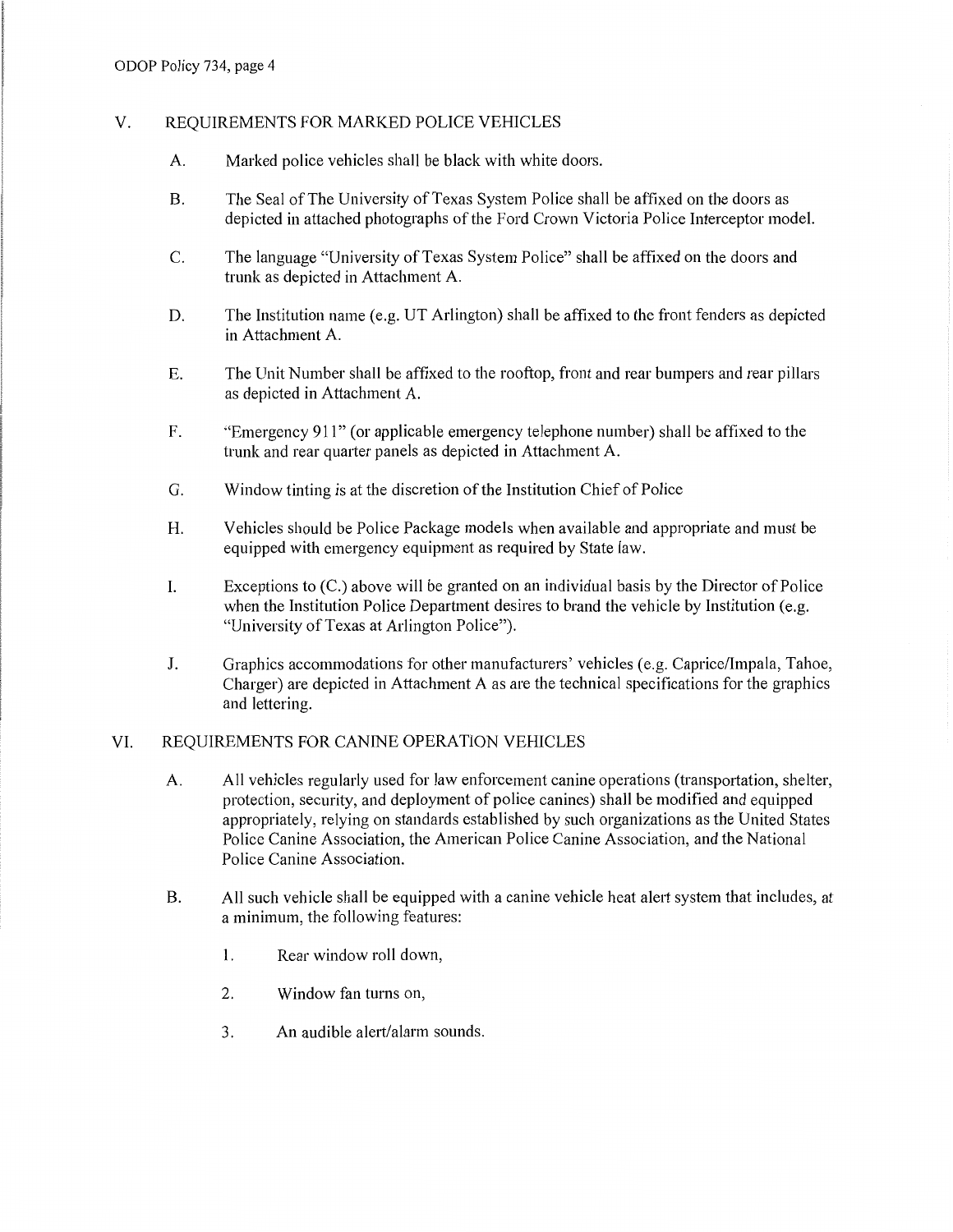### V. REQUIREMENTS FOR MARKED POLICE VEHICLES

- A. Marked police vehicles shall be black with white doors.
- B. The Seal of The University of Texas System Police shall be affixed on the doors as depicted in attached photographs of the Ford Crown Victoria Police Interceptor model.
- C. The language "University of Texas System Police" shall be affixed on the doors and trunk as depicted in Attachment A.
- D. The Institution name (e.g. UT Arlington) shall be affixed to the front fenders as depicted in Attachment A.
- E. The Unit Number shall be affixed to the rooftop, front and rear bumpers and rear pillars as depicted in Attachment A.
- F. "Emergency 911" (or applicable emergency telephone number) shall be affixed to the trunk and rear quarter panels as depicted in Attachment A.
- G. Window tinting is at the discretion of the Institution Chief of Police
- H. Vehicles should be Police Package models when available and appropriate and must be equipped with emergency equipment as required by State law.
- I. Exceptions to (C.) above will be granted on an individual basis by the Director of Police when the Institution Police Department desires to brand the vehicle by Institution (e.g. "University of Texas at Arlington Police").
- J. Graphics accommodations for other manufacturers' vehicles (e.g. Caprice/Impala, Tahoe, Charger) are depicted in Attachment A as are the technical specifications for the graphics and lettering.

### VI. REQUIREMENTS FOR CANINE OPERATION VEHICLES

- A. All vehicles regularly used for law enforcement canine operations (transportation, shelter, protection, security, and deployment of police canines) shall be modified and equipped appropriately, relying on standards established by such organizations as the United States Police Canine Association, the American Police Canine Association, and the National Police Canine Association.
- B. All such vehicle shall be equipped with a canine vehicle heat alert system that includes, at a minimum, the following features:
	- 1. Rear window roll down,
	- 2. Window fan turns on,
	- 3. An audible alert/alarm sounds.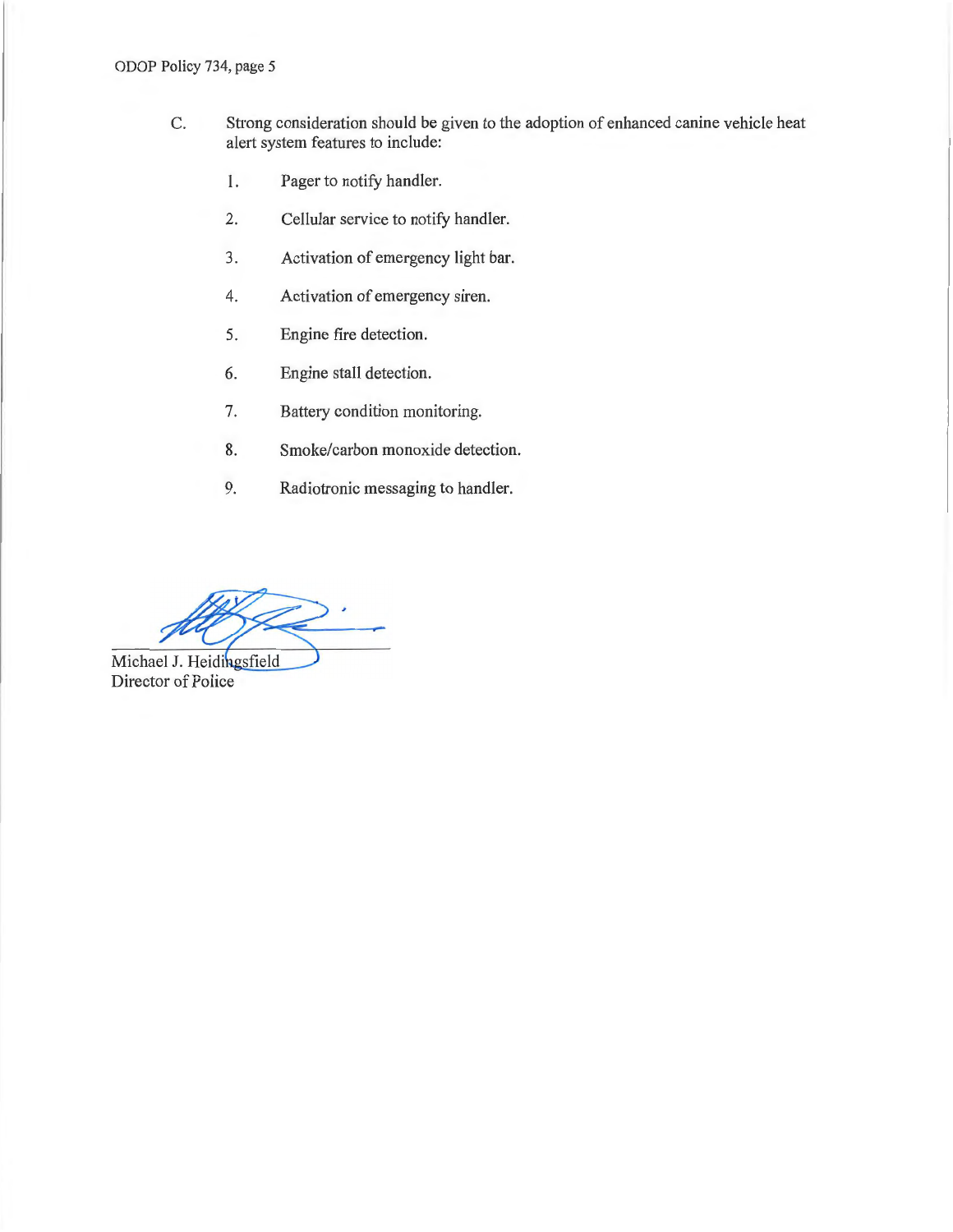- C. Strong consideration should be given to the adoption of enhanced canine vehicle heat alert system features to include:
	- 1. Pager to notify handler.
	- 2. Cellular service to notify handler.
	- 3. Activation of emergency light bar.
	- 4. Activation of emergency siren.
	- 5. Engine fire detection.
	- 6. Engine stall detection.
	- 7. Battery condition monitoring.
	- 8. Smoke/carbon monoxide detection.
	- 9. Radiotronic messaging to handler.

Michael J. Heidingsfield

Director of Police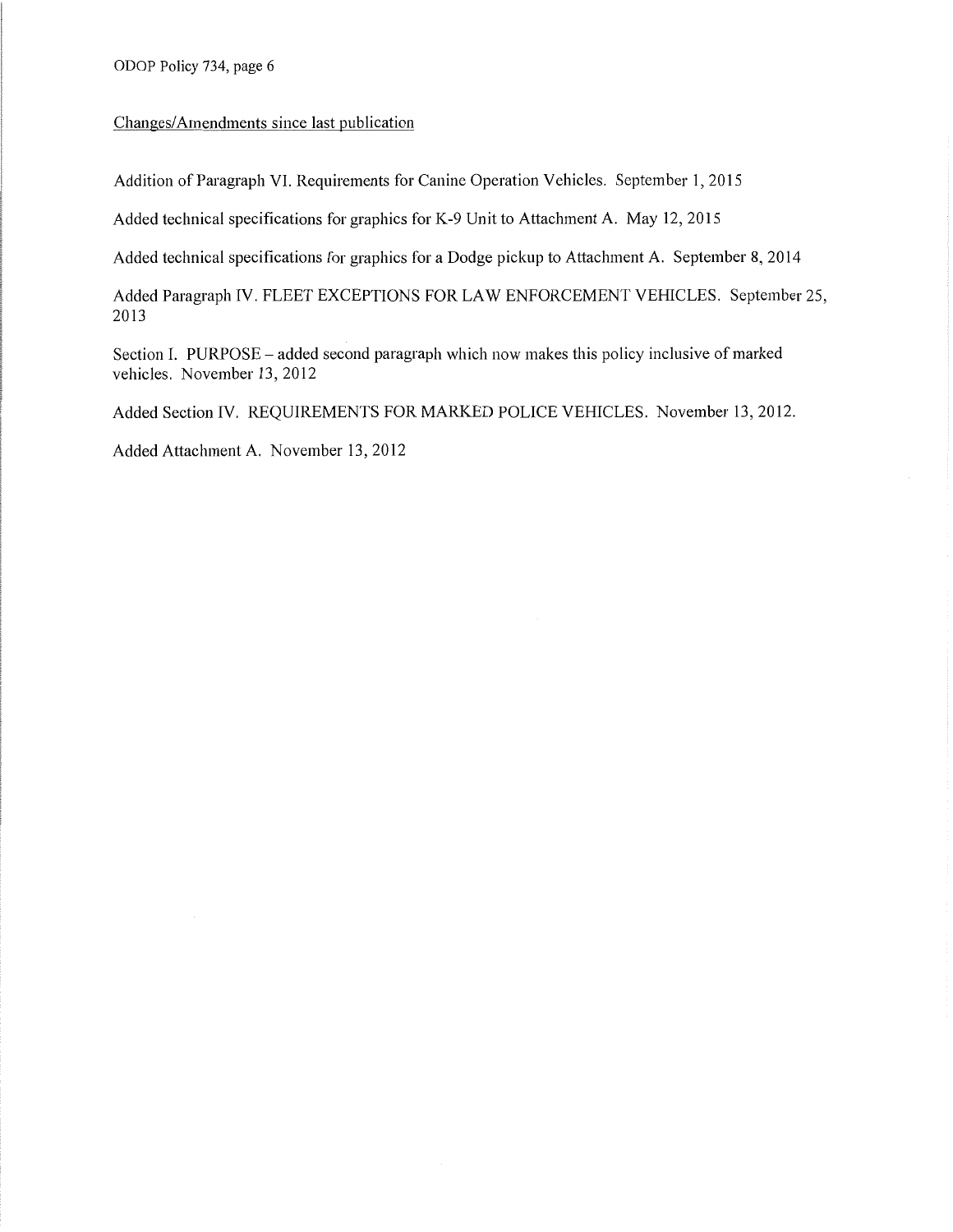### Changes/ Amendments since last publication

Addition of Paragraph VI. Requirements for Canine Operation Vehicles. September 1, 2015

Added technical specifications for graphics for K-9 Unit to Attachment A. May 12, 2015

Added technical specifications for graphics for a Dodge pickup to Attachment A. September 8, 2014

Added Paragraph IV. FLEET EXCEPTIONS FOR LAW ENFORCEMENT VEHICLES. September 25, 2013

Section I. PURPOSE – added second paragraph which now makes this policy inclusive of marked vehicles. November 13, 2012

Added Section IV. REQUIREMENTS FOR MARKED POLICE VEHICLES. November 13, 2012.

Added Attachment A. November 13, 2012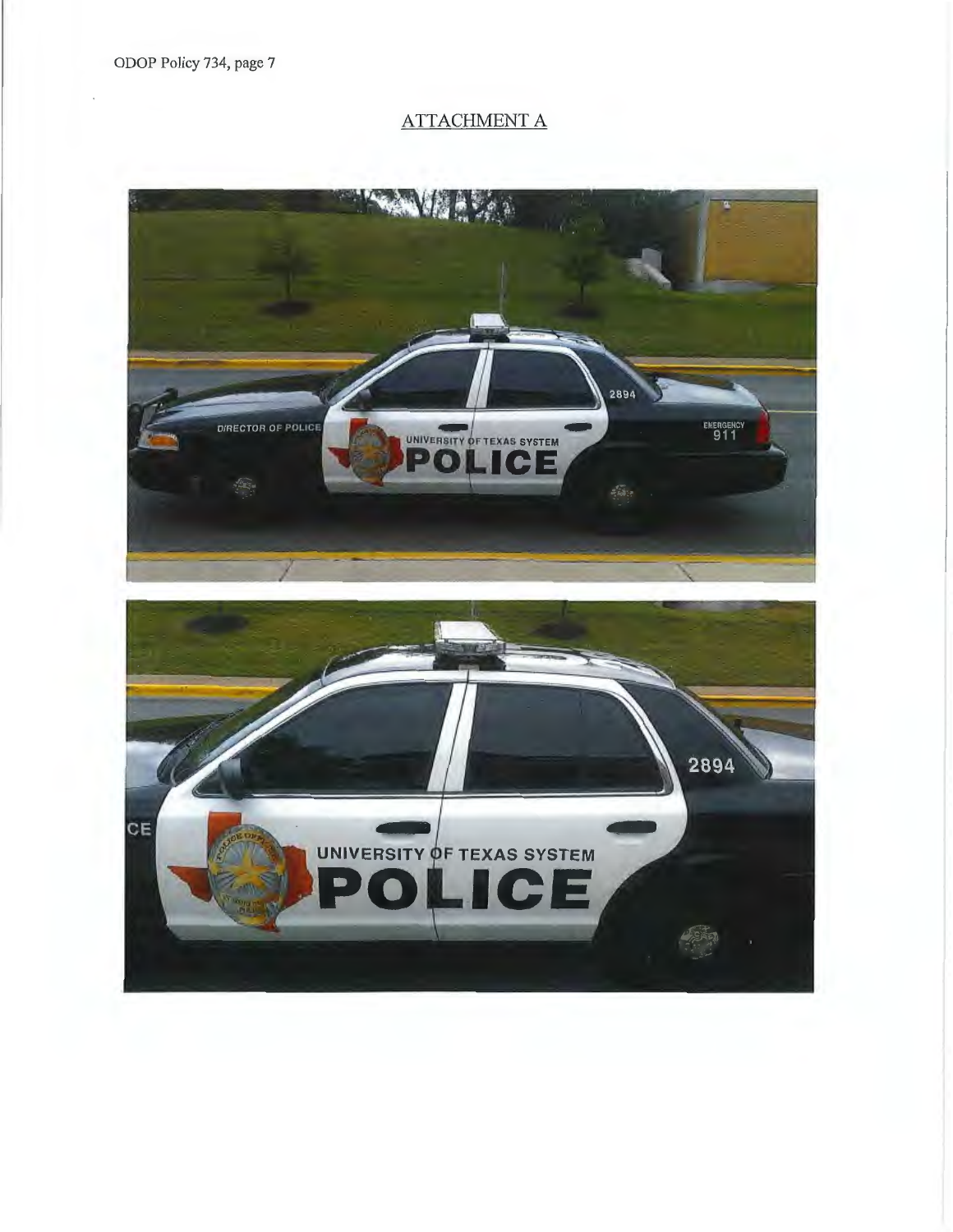## ATTACHMENT A

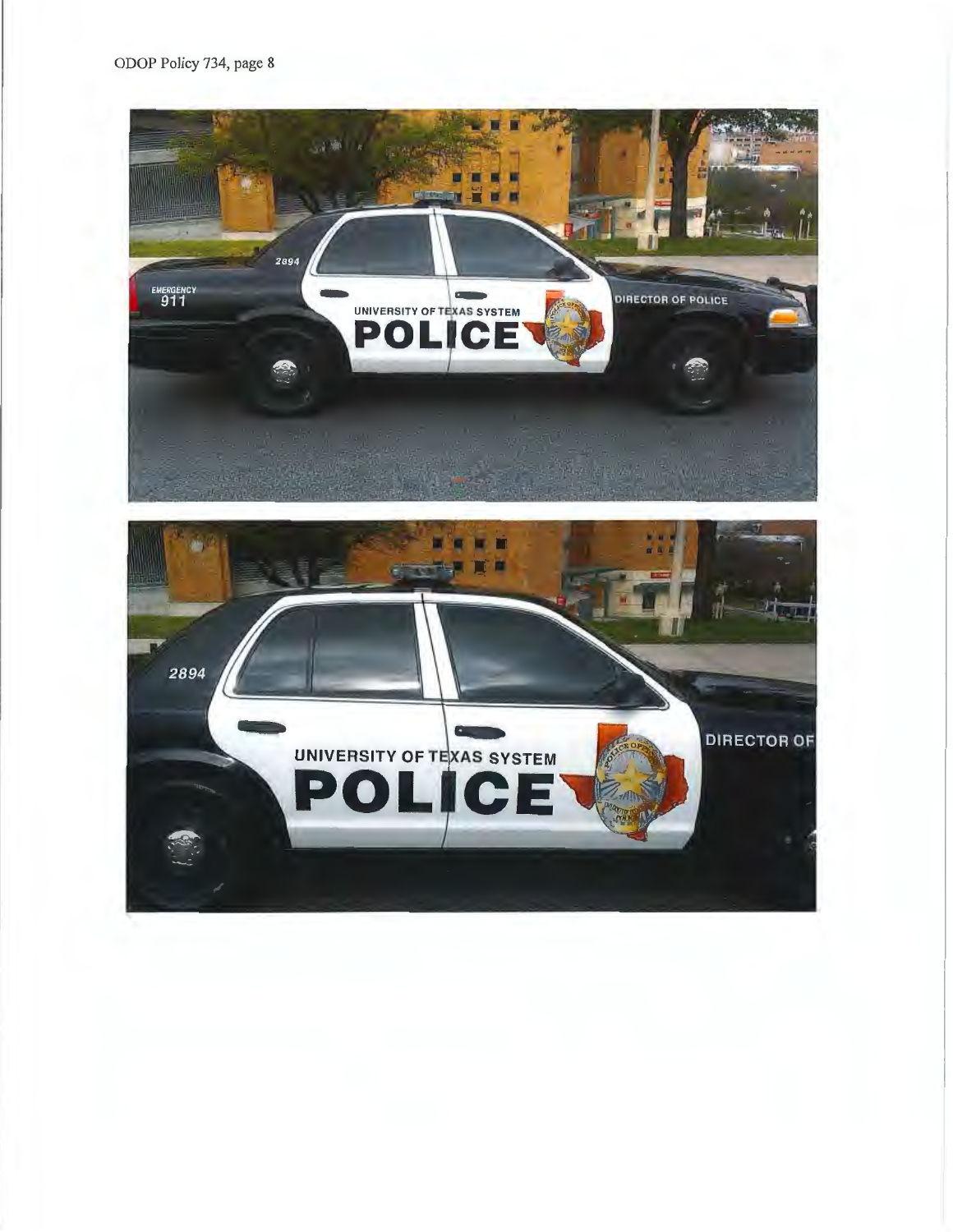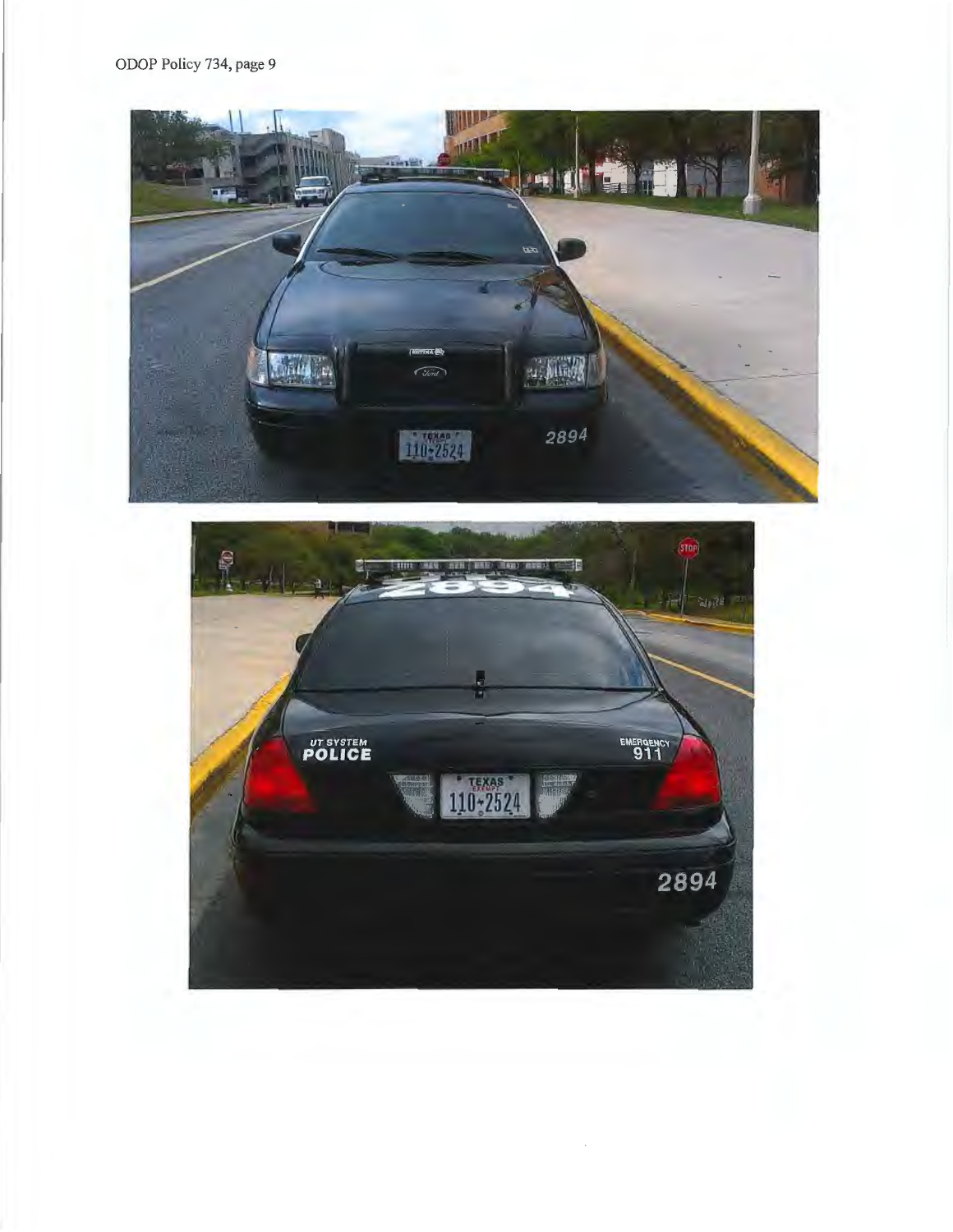

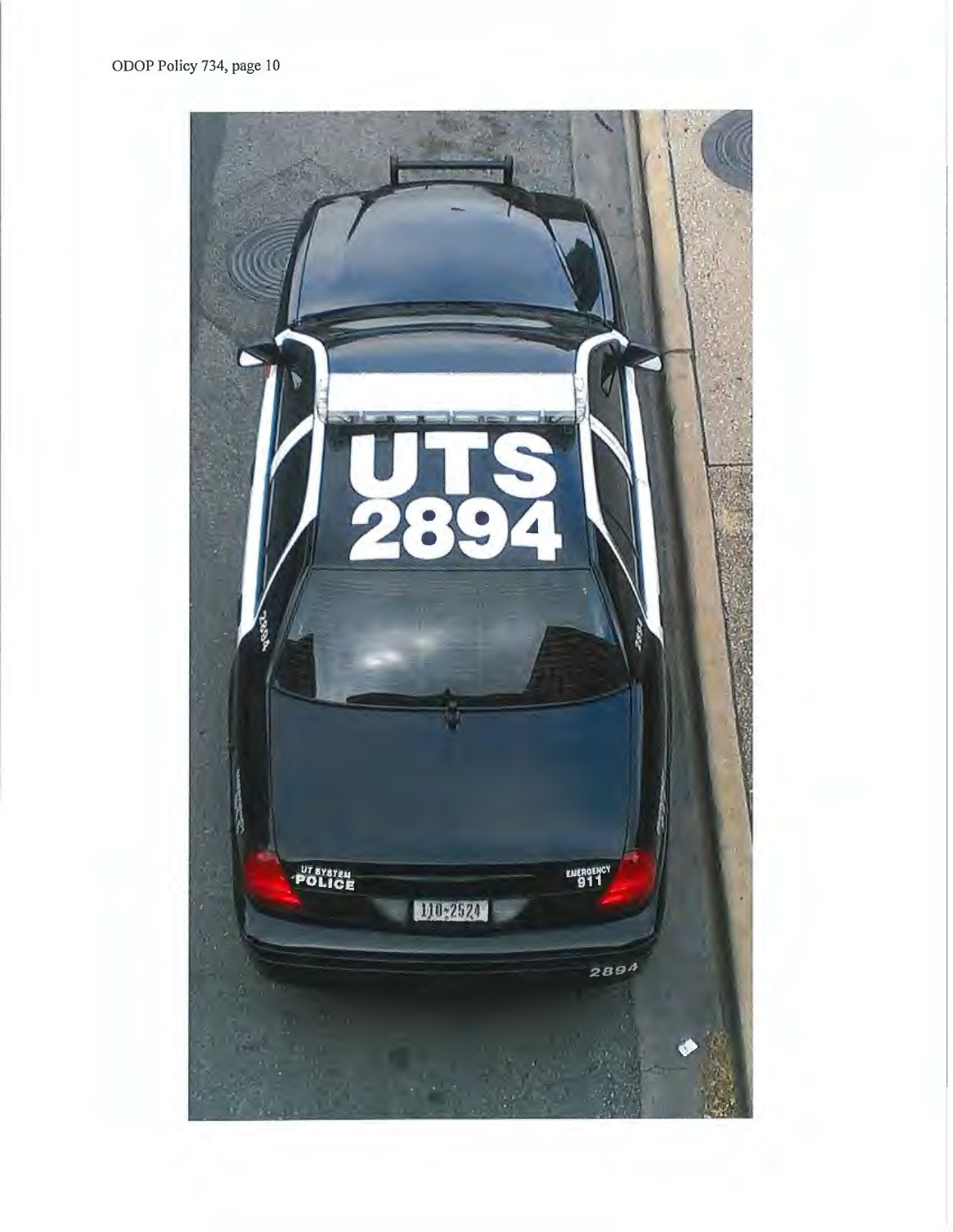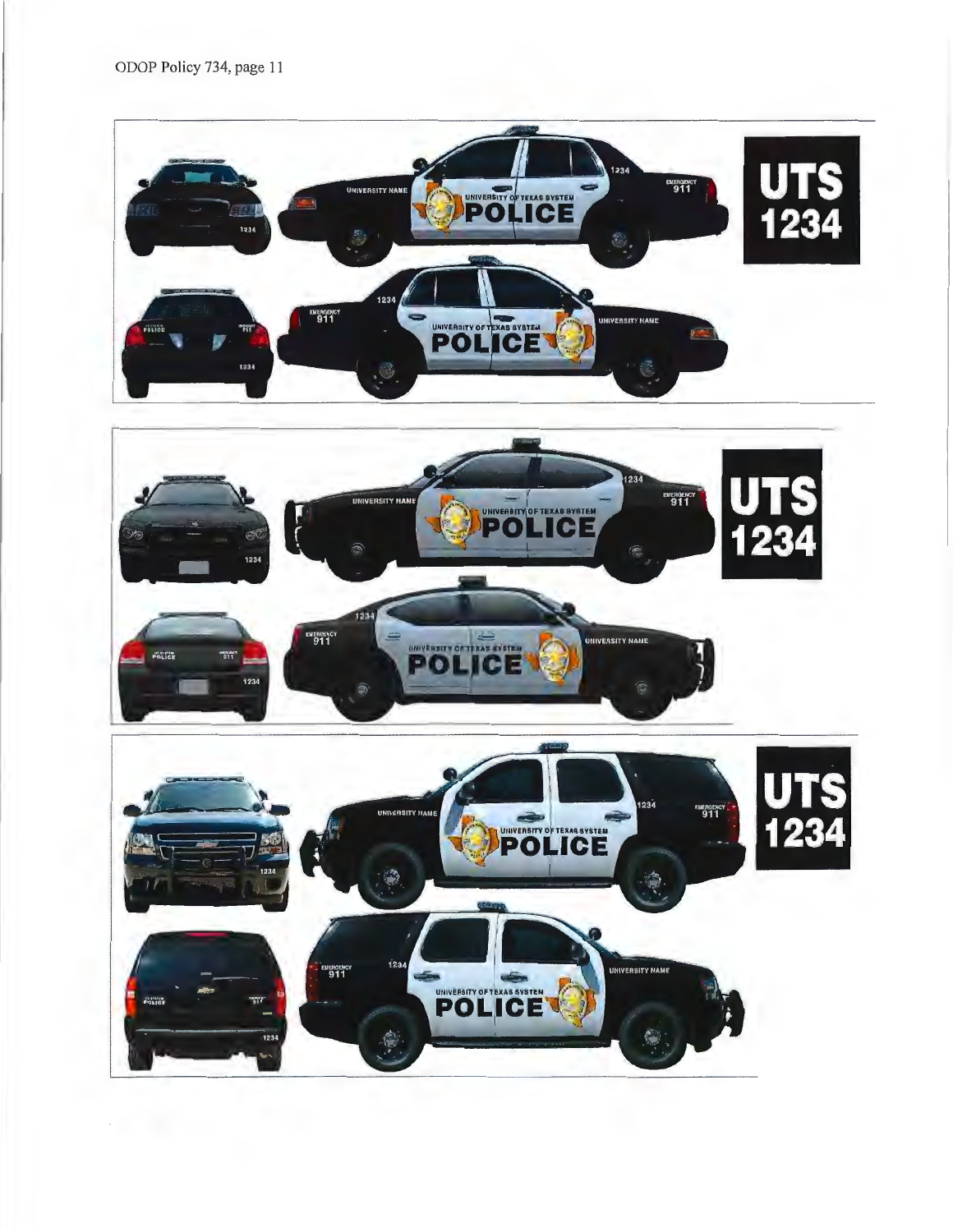



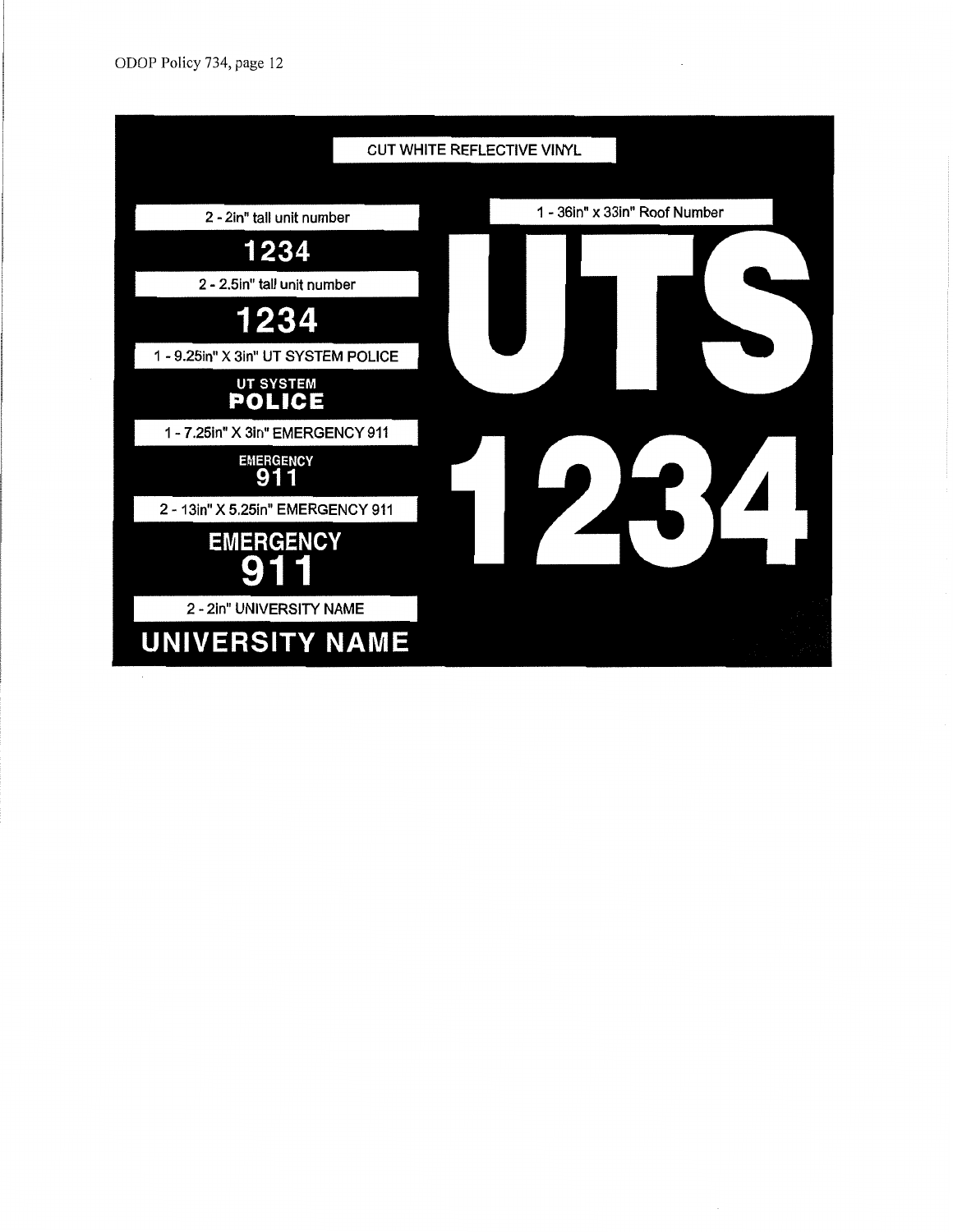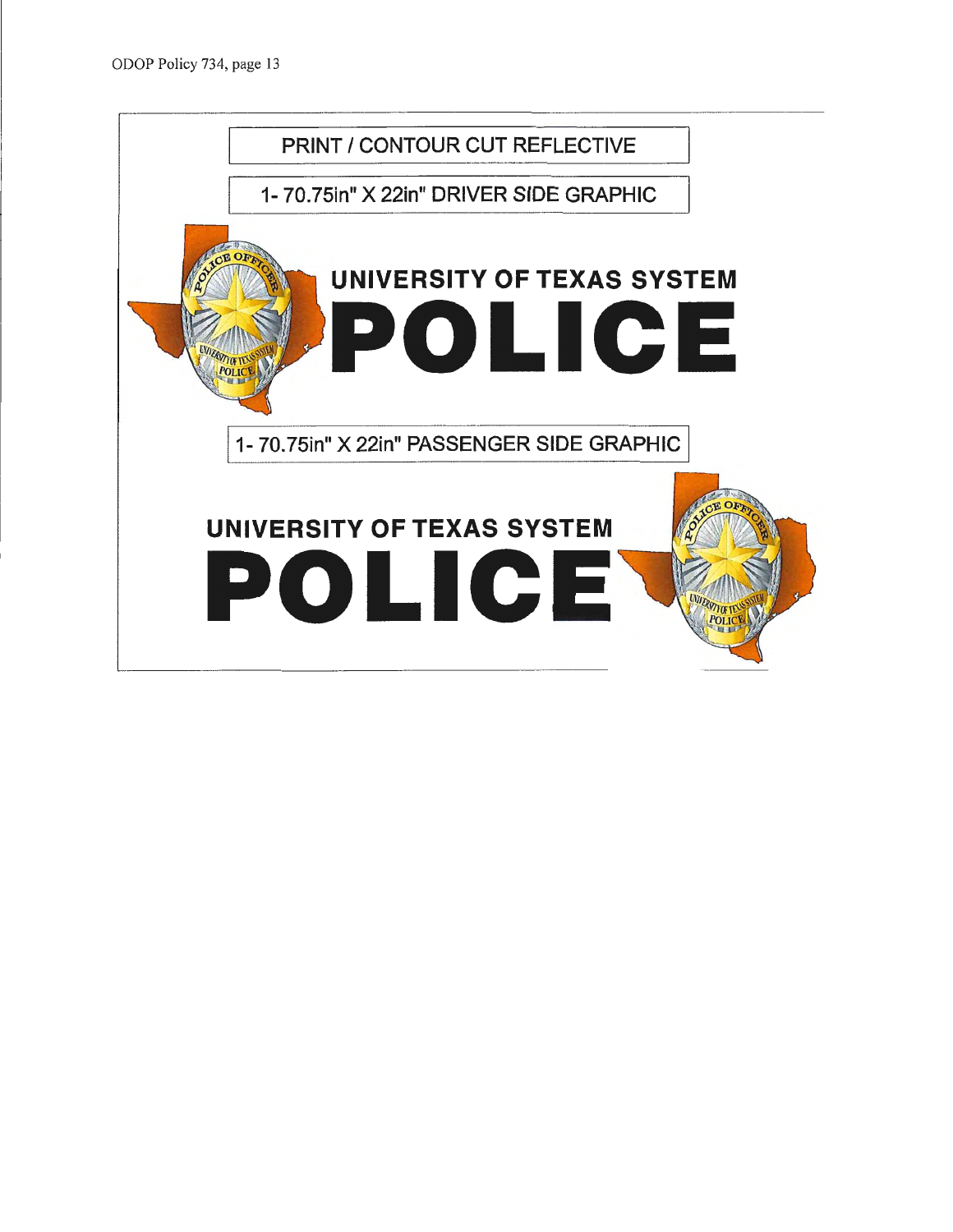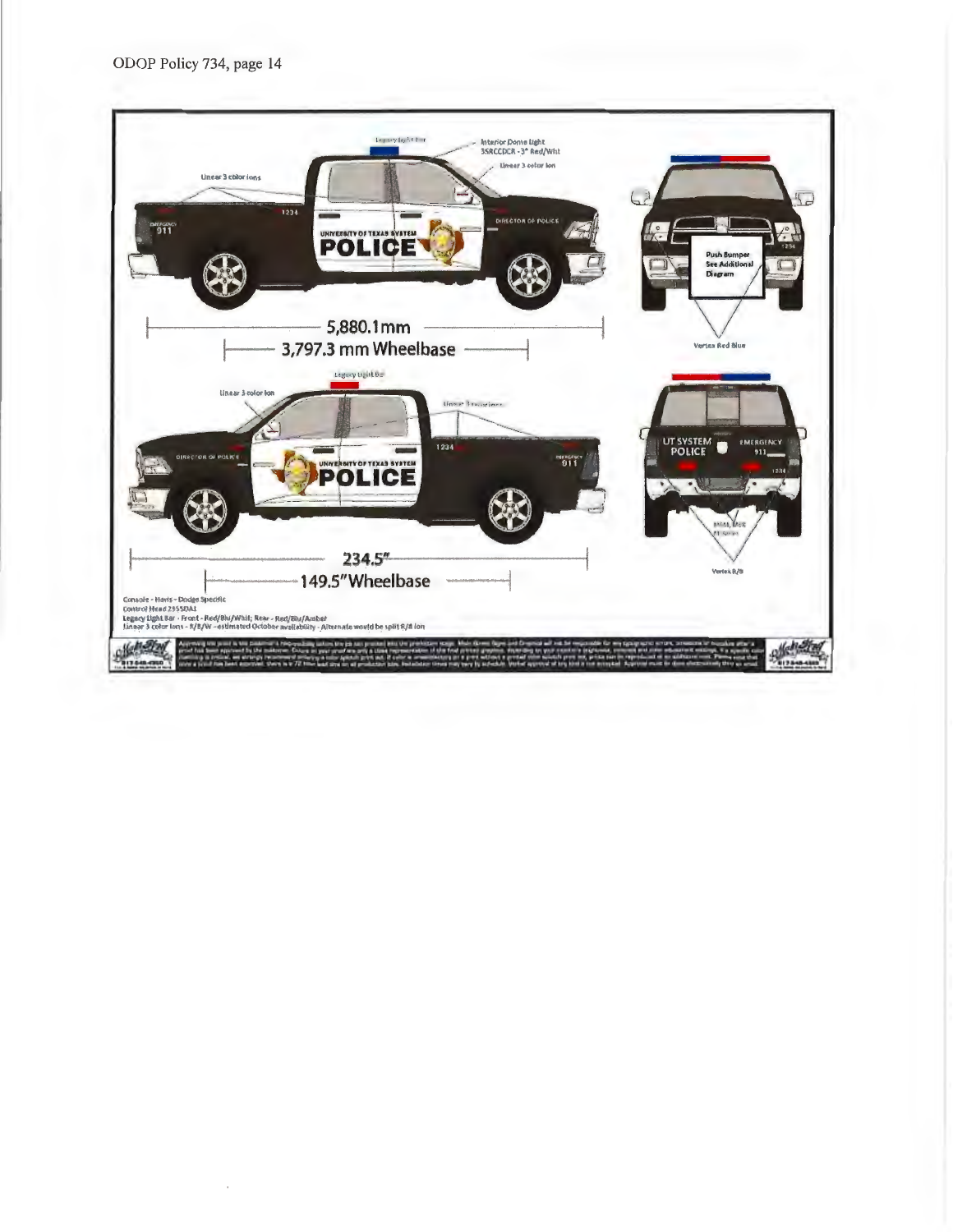